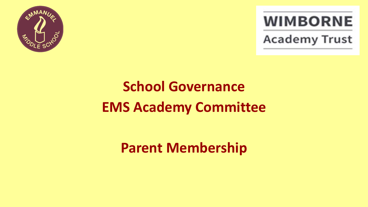

**WIMBORNE** 

**Academy Trust** 

# **School Governance EMS Academy Committee**

**Parent Membership**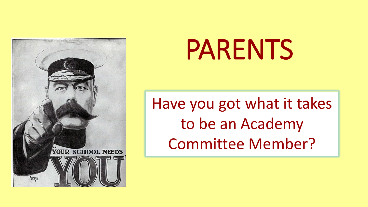

# PARENTS

Have you got what it takes to be an Academy Committee Member?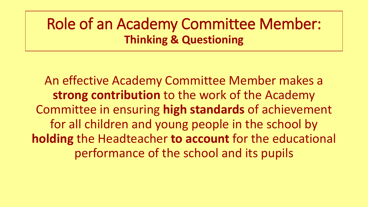#### Role of an Academy Committee Member: **Thinking & Questioning**

An effective Academy Committee Member makes a **strong contribution** to the work of the Academy Committee in ensuring **high standards** of achievement for all children and young people in the school by **holding** the Headteacher **to account** for the educational performance of the school and its pupils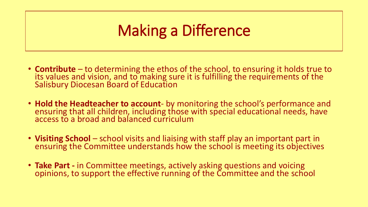## Making a Difference

- **Contribute** to determining the ethos of the school, to ensuring it holds true to its values and vision, and to making sure it is fulfilling the requirements of the Salisbury Diocesan Board of Education
- **Hold the Headteacher to account** by monitoring the school's performance and ensuring that all children, including those with special educational needs, have access to a broad and balanced curriculum
- Visiting School school visits and liaising with staff play an important part in ensuring the Committee understands how the school is meeting its objectives
- **Take Part -** in Committee meetings, actively asking questions and voicing opinions, to support the effective running of the Committee and the school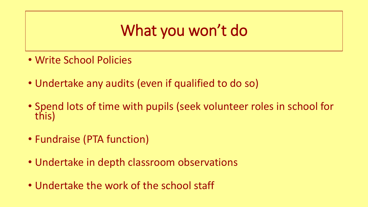## What you won't do

- Write School Policies
- Undertake any audits (even if qualified to do so)
- Spend lots of time with pupils (seek volunteer roles in school for this)
- Fundraise (PTA function)
- Undertake in depth classroom observations
- Undertake the work of the school staff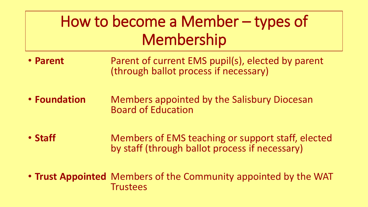#### How to become a Member – types of Membership

- **Parent** Parent of current EMS pupil(s), elected by parent (through ballot process if necessary)
- **Foundation** Members appointed by the Salisbury Diocesan Board of Education
- **Staff** Members of EMS teaching or support staff, elected by staff (through ballot process if necessary)
- **Trust Appointed** Members of the Community appointed by the WAT **Trustees**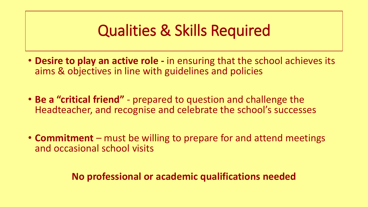#### Qualities & Skills Required

- **Desire to play an active role -** in ensuring that the school achieves its aims & objectives in line with guidelines and policies
- **Be a "critical friend"** prepared to question and challenge the Headteacher, and recognise and celebrate the school's successes
- **Commitment** must be willing to prepare for and attend meetings and occasional school visits

#### **No professional or academic qualifications needed**